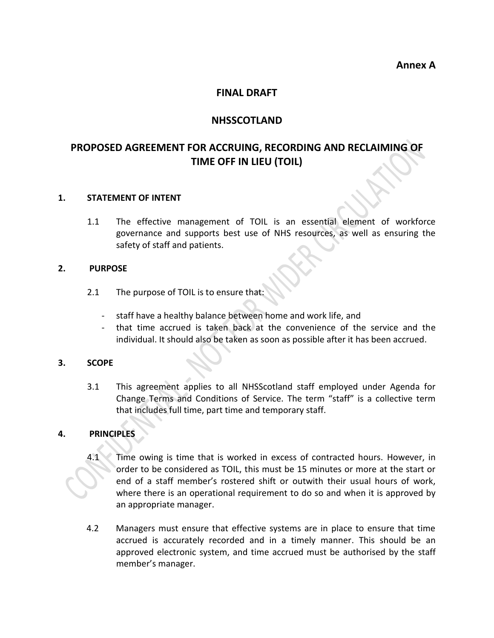**Annex A**

### **FINAL DRAFT**

### **NHSSCOTLAND**

# **PROPOSED AGREEMENT FOR ACCRUING, RECORDING AND RECLAIMING OF TIME OFF IN LIEU (TOIL)**

#### **1. STATEMENT OF INTENT**

1.1 The effective management of TOIL is an essential element of workforce governance and supports best use of NHS resources, as well as ensuring the safety of staff and patients.

#### **2. PURPOSE**

- 2.1 The purpose of TOIL is to ensure that:
	- staff have a healthy balance between home and work life, and
	- that time accrued is taken back at the convenience of the service and the individual. It should also be taken as soon as possible after it has been accrued.

#### **3. SCOPE**

3.1 This agreement applies to all NHSScotland staff employed under Agenda for Change Terms and Conditions of Service. The term "staff" is a collective term that includes full time, part time and temporary staff.

#### **4. PRINCIPLES**

- 4.1 Time owing is time that is worked in excess of contracted hours. However, in order to be considered as TOIL, this must be 15 minutes or more at the start or end of a staff member's rostered shift or outwith their usual hours of work, where there is an operational requirement to do so and when it is approved by an appropriate manager.
- 4.2 Managers must ensure that effective systems are in place to ensure that time accrued is accurately recorded and in a timely manner. This should be an approved electronic system, and time accrued must be authorised by the staff member's manager.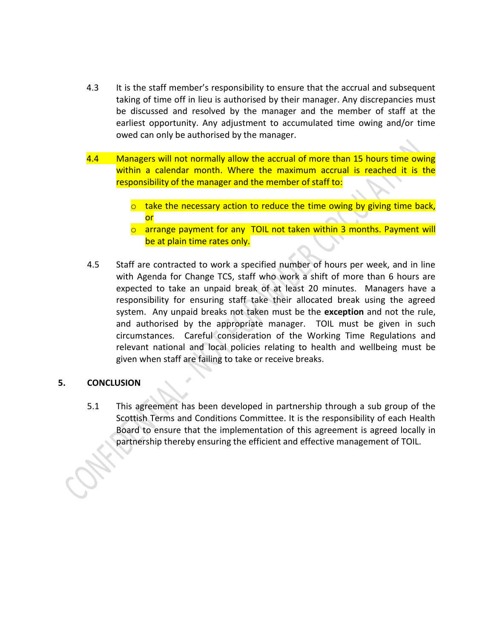- 4.3 It is the staff member's responsibility to ensure that the accrual and subsequent taking of time off in lieu is authorised by their manager. Any discrepancies must be discussed and resolved by the manager and the member of staff at the earliest opportunity. Any adjustment to accumulated time owing and/or time owed can only be authorised by the manager.
- 4.4 Managers will not normally allow the accrual of more than 15 hours time owing within a calendar month. Where the maximum accrual is reached it is the responsibility of the manager and the member of staff to:
	- $\circ$  take the necessary action to reduce the time owing by giving time back, or
	- o arrange payment for any TOIL not taken within 3 months. Payment will be at plain time rates only.
- 4.5 Staff are contracted to work a specified number of hours per week, and in line with Agenda for Change TCS, staff who work a shift of more than 6 hours are expected to take an unpaid break of at least 20 minutes. Managers have a responsibility for ensuring staff take their allocated break using the agreed system. Any unpaid breaks not taken must be the **exception** and not the rule, and authorised by the appropriate manager. TOIL must be given in such circumstances. Careful consideration of the Working Time Regulations and relevant national and local policies relating to health and wellbeing must be given when staff are failing to take or receive breaks.

#### **5. CONCLUSION**

5.1 This agreement has been developed in partnership through a sub group of the Scottish Terms and Conditions Committee. It is the responsibility of each Health Board to ensure that the implementation of this agreement is agreed locally in partnership thereby ensuring the efficient and effective management of TOIL.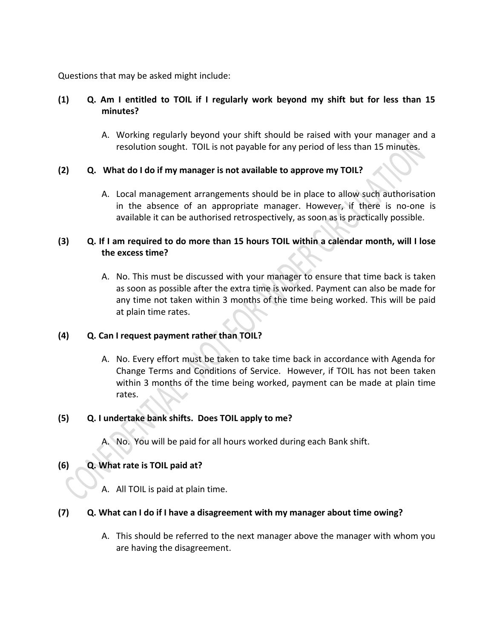Questions that may be asked might include:

# **(1) Q. Am I entitled to TOIL if I regularly work beyond my shift but for less than 15 minutes?**

A. Working regularly beyond your shift should be raised with your manager and a resolution sought. TOIL is not payable for any period of less than 15 minutes.

# **(2) Q. What do I do if my manager is not available to approve my TOIL?**

A. Local management arrangements should be in place to allow such authorisation in the absence of an appropriate manager. However, if there is no-one is available it can be authorised retrospectively, as soon as is practically possible.

# **(3) Q. If I am required to do more than 15 hours TOIL within a calendar month, will I lose the excess time?**

A. No. This must be discussed with your manager to ensure that time back is taken as soon as possible after the extra time is worked. Payment can also be made for any time not taken within 3 months of the time being worked. This will be paid at plain time rates.

# **(4) Q. Can I request payment rather than TOIL?**

A. No. Every effort must be taken to take time back in accordance with Agenda for Change Terms and Conditions of Service. However, if TOIL has not been taken within 3 months of the time being worked, payment can be made at plain time rates.

#### **(5) Q. I undertake bank shifts. Does TOIL apply to me?**

A. No. You will be paid for all hours worked during each Bank shift.

# **(6) Q. What rate is TOIL paid at?**

A. All TOIL is paid at plain time.

#### **(7) Q. What can I do if I have a disagreement with my manager about time owing?**

A. This should be referred to the next manager above the manager with whom you are having the disagreement.